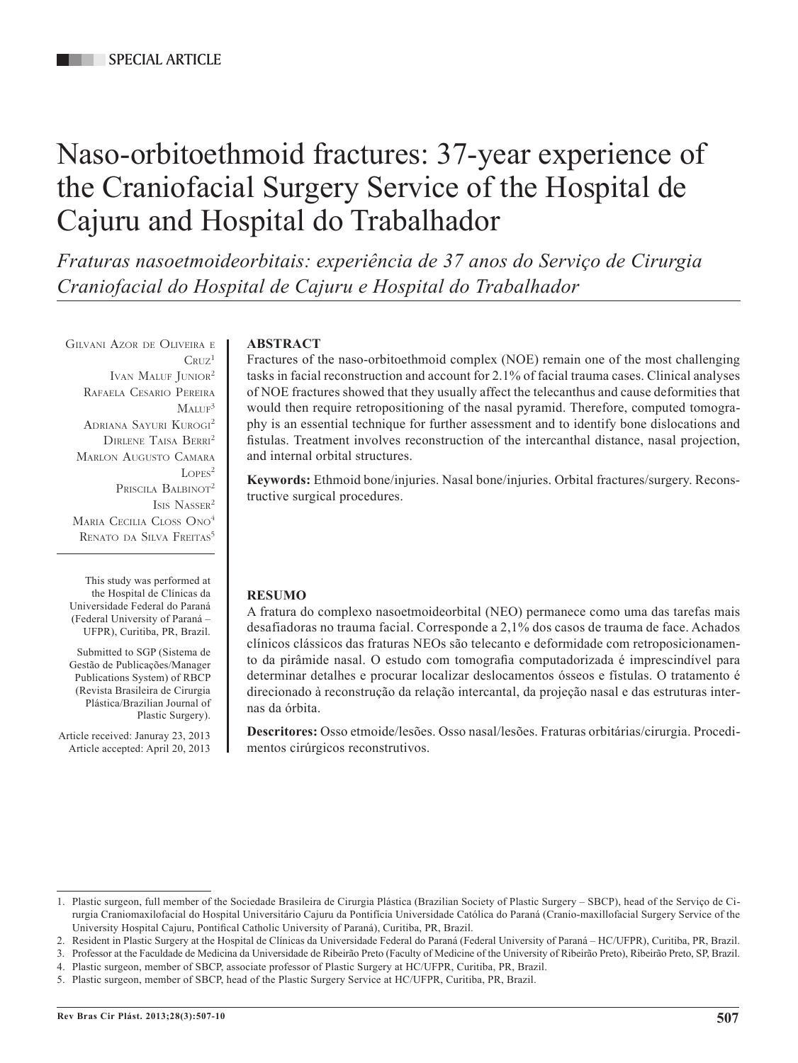# Naso-orbitoethmoid fractures: 37-year experience of the Craniofacial Surgery Service of the Hospital de Cajuru and Hospital do Trabalhador

*Fraturas nasoetmoideorbitais: experiência de 37 anos do Serviço de Cirurgia Craniofacial do Hospital de Cajuru e Hospital do Trabalhador*

Gilvani Azor de Oliveira <sup>e</sup>  $C_{\rm RHZ}$ <sup>1</sup> IVAN MALUF JUNIOR<sup>2</sup> Rafaela Cesario Pereira  $M$ ALUF<sup>3</sup> Adriana Sayuri Kurogi 2 Dirlene Taisa Berri2 Marlon Augusto Camara  $L$ OPES<sup>2</sup> PRISCILA BALBINOT<sup>2</sup> Isis Nasser2 MARIA CECILIA CLOSS ONO<sup>4</sup> RENATO DA SILVA FREITAS<sup>5</sup>

This study was performed at the Hospital de Clínicas da Universidade Federal do Paraná (Federal University of Paraná – UFPR), Curitiba, PR, Brazil.

Submitted to SGP (Sistema de Gestão de Publicações/Manager Publications System) of RBCP (Revista Brasileira de Cirurgia Plástica/Brazilian Journal of Plastic Surgery).

Article received: Januray 23, 2013 Article accepted: April 20, 2013

# **ABSTRACT**

Fractures of the naso-orbitoethmoid complex (NOE) remain one of the most challenging tasks in facial reconstruction and account for 2.1% of facial trauma cases. Clinical analyses of NOE fractures showed that they usually affect the telecanthus and cause deformities that would then require retropositioning of the nasal pyramid. Therefore, computed tomography is an essential technique for further assessment and to identify bone dislocations and fistulas. Treatment involves reconstruction of the intercanthal distance, nasal projection, and internal orbital structures.

**Keywords:** Ethmoid bone/injuries. Nasal bone/injuries. Orbital fractures/surgery. Reconstructive surgical procedures.

# **RESUMO**

A fratura do complexo nasoetmoideorbital (NEO) permanece como uma das tarefas mais desafiadoras no trauma facial. Corresponde a 2,1% dos casos de trauma de face. Achados clínicos clássicos das fraturas NEOs são telecanto e deformidade com retroposicionamento da pirâmide nasal. O estudo com tomografia computadorizada é imprescindível para determinar detalhes e procurar localizar deslocamentos ósseos e fístulas. O tratamento é direcionado à reconstrução da relação intercantal, da projeção nasal e das estruturas internas da órbita.

**Descritores:** Osso etmoide/lesões. Osso nasal/lesões. Fraturas orbitárias/cirurgia. Procedimentos cirúrgicos reconstrutivos.

<sup>1.</sup> Plastic surgeon, full member of the Sociedade Brasileira de Cirurgia Plástica (Brazilian Society of Plastic Surgery – SBCP), head of the Serviço de Cirurgia Craniomaxilofacial do Hospital Universitário Cajuru da Pontifícia Universidade Católica do Paraná (Cranio-maxillofacial Surgery Service of the University Hospital Cajuru, Pontifical Catholic University of Paraná), Curitiba, PR, Brazil.

<sup>2.</sup> Resident in Plastic Surgery at the Hospital de Clínicas da Universidade Federal do Paraná (Federal University of Paraná – HC/UFPR), Curitiba, PR, Brazil.

<sup>3.</sup> Professor at the Faculdade de Medicina da Universidade de Ribeirão Preto (Faculty of Medicine of the University of Ribeirão Preto), Ribeirão Preto, SP, Brazil.

<sup>4.</sup> Plastic surgeon, member of SBCP, associate professor of Plastic Surgery at HC/UFPR, Curitiba, PR, Brazil.

<sup>5.</sup> Plastic surgeon, member of SBCP, head of the Plastic Surgery Service at HC/UFPR, Curitiba, PR, Brazil.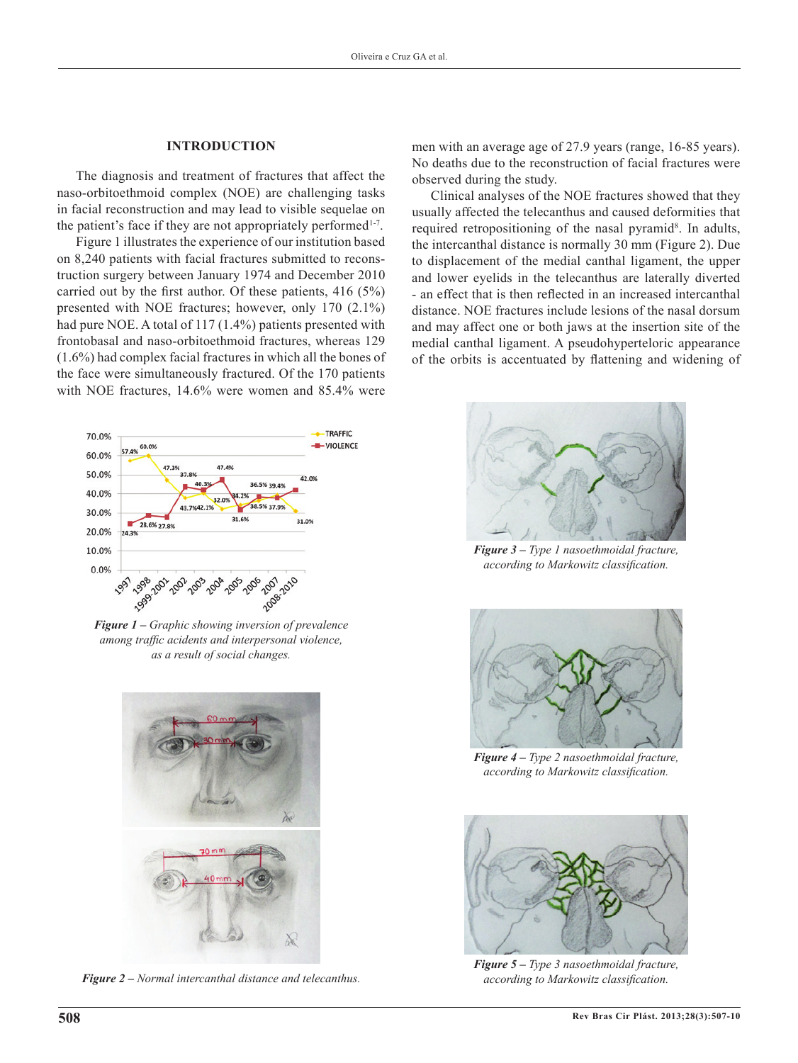### **INTRODUCTION**

The diagnosis and treatment of fractures that affect the naso-orbitoethmoid complex (NOE) are challenging tasks in facial reconstruction and may lead to visible sequelae on the patient's face if they are not appropriately performed $1-7$ .

Figure 1 illustrates the experience of our institution based on 8,240 patients with facial fractures submitted to reconstruction surgery between January 1974 and December 2010 carried out by the first author. Of these patients, 416 (5%) presented with NOE fractures; however, only 170 (2.1%) had pure NOE. A total of 117 (1.4%) patients presented with frontobasal and naso-orbitoethmoid fractures, whereas 129 (1.6%) had complex facial fractures in which all the bones of the face were simultaneously fractured. Of the 170 patients with NOE fractures, 14.6% were women and 85.4% were



*Figure 1 – Graphic showing inversion of prevalence among traffic acidents and interpersonal violence, as a result of social changes.*



*Figure 2 – Normal intercanthal distance and telecanthus.*

men with an average age of 27.9 years (range, 16-85 years). No deaths due to the reconstruction of facial fractures were observed during the study.

Clinical analyses of the NOE fractures showed that they usually affected the telecanthus and caused deformities that required retropositioning of the nasal pyramid<sup>8</sup>. In adults, the intercanthal distance is normally 30 mm (Figure 2). Due to displacement of the medial canthal ligament, the upper and lower eyelids in the telecanthus are laterally diverted - an effect that is then reflected in an increased intercanthal distance. NOE fractures include lesions of the nasal dorsum and may affect one or both jaws at the insertion site of the medial canthal ligament. A pseudohyperteloric appearance of the orbits is accentuated by flattening and widening of



*Figure 3 – Type 1 nasoethmoidal fracture, according to Markowitz classification.*



*Figure 4 – Type 2 nasoethmoidal fracture, according to Markowitz classification.*



*Figure 5 – Type 3 nasoethmoidal fracture, according to Markowitz classification.*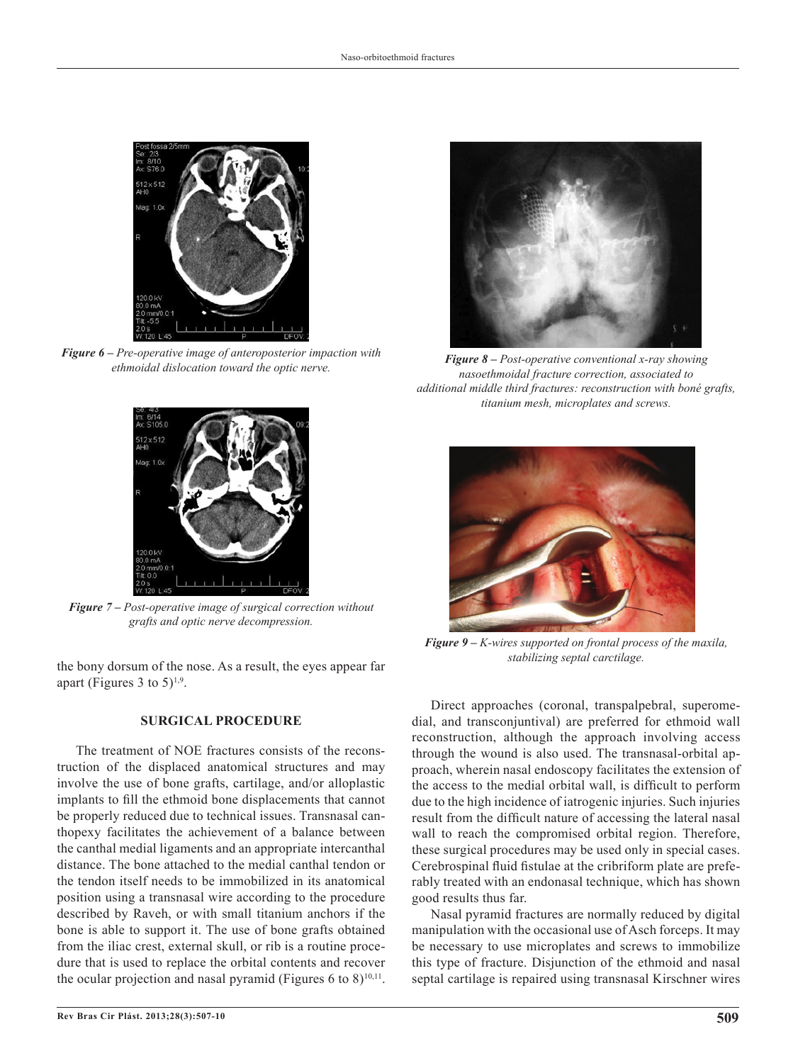

*Figure 6 – Pre-operative image of anteroposterior impaction with ethmoidal dislocation toward the optic nerve.*



*Figure 7 – Post-operative image of surgical correction without grafts and optic nerve decompression.*

*stabilizing septal carctilage.* the bony dorsum of the nose. As a result, the eyes appear far apart (Figures 3 to  $5)^{1,9}$ .

## **SURGICAL PROCEDURE**

The treatment of NOE fractures consists of the reconstruction of the displaced anatomical structures and may involve the use of bone grafts, cartilage, and/or alloplastic implants to fill the ethmoid bone displacements that cannot be properly reduced due to technical issues. Transnasal canthopexy facilitates the achievement of a balance between the canthal medial ligaments and an appropriate intercanthal distance. The bone attached to the medial canthal tendon or the tendon itself needs to be immobilized in its anatomical position using a transnasal wire according to the procedure described by Raveh, or with small titanium anchors if the bone is able to support it. The use of bone grafts obtained from the iliac crest, external skull, or rib is a routine procedure that is used to replace the orbital contents and recover the ocular projection and nasal pyramid (Figures 6 to 8)<sup>10,11</sup>.



*Figure 8 – Post-operative conventional x-ray showing nasoethmoidal fracture correction, associated to additional middle third fractures: reconstruction with boné grafts, titanium mesh, microplates and screws.*



*Figure 9 – K-wires supported on frontal process of the maxila,* 

Direct approaches (coronal, transpalpebral, superomedial, and transconjuntival) are preferred for ethmoid wall reconstruction, although the approach involving access through the wound is also used. The transnasal-orbital approach, wherein nasal endoscopy facilitates the extension of the access to the medial orbital wall, is difficult to perform due to the high incidence of iatrogenic injuries. Such injuries result from the difficult nature of accessing the lateral nasal wall to reach the compromised orbital region. Therefore, these surgical procedures may be used only in special cases. Cerebrospinal fluid fistulae at the cribriform plate are preferably treated with an endonasal technique, which has shown good results thus far.

Nasal pyramid fractures are normally reduced by digital manipulation with the occasional use of Asch forceps. It may be necessary to use microplates and screws to immobilize this type of fracture. Disjunction of the ethmoid and nasal septal cartilage is repaired using transnasal Kirschner wires